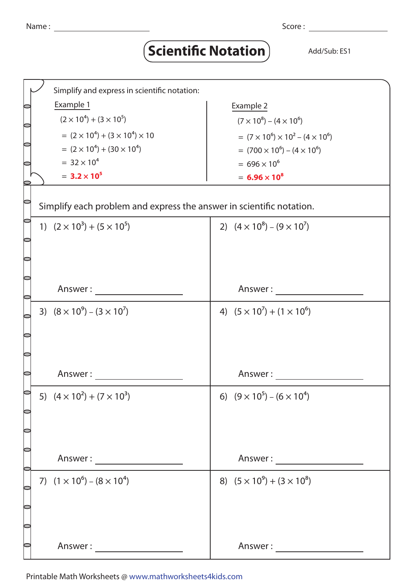## **Scientific Notation** Add/Sub: ES1

|                                                                      | Simplify and express in scientific notation:    |                                                   |  |
|----------------------------------------------------------------------|-------------------------------------------------|---------------------------------------------------|--|
|                                                                      | Example 1                                       | Example 2                                         |  |
|                                                                      | $(2 \times 10^4) + (3 \times 10^5)$             | $(7 \times 10^8) - (4 \times 10^6)$               |  |
|                                                                      | $= (2 \times 10^4) + (3 \times 10^4) \times 10$ | $= (7 \times 10^6) \times 10^2 - (4 \times 10^6)$ |  |
|                                                                      | $= (2 \times 10^4) + (30 \times 10^4)$          | $= (700 \times 10^6) - (4 \times 10^6)$           |  |
|                                                                      | $= 32 \times 10^{4}$                            | $= 696 \times 10^{6}$                             |  |
|                                                                      | $= 3.2 \times 10^5$                             | $= 6.96 \times 10^8$                              |  |
|                                                                      |                                                 |                                                   |  |
| Simplify each problem and express the answer in scientific notation. |                                                 |                                                   |  |
|                                                                      | 1) $(2 \times 10^3) + (5 \times 10^5)$          | 2) $(4 \times 10^8) - (9 \times 10^7)$            |  |
|                                                                      |                                                 |                                                   |  |
|                                                                      |                                                 |                                                   |  |
|                                                                      |                                                 |                                                   |  |
|                                                                      | Answer:                                         | Answer:                                           |  |
|                                                                      |                                                 |                                                   |  |
|                                                                      | 3) $(8 \times 10^9) - (3 \times 10^7)$          | 4) $(5 \times 10^7) + (1 \times 10^6)$            |  |
|                                                                      |                                                 |                                                   |  |
|                                                                      |                                                 |                                                   |  |
|                                                                      |                                                 |                                                   |  |
|                                                                      | Answer:                                         | Answer:                                           |  |
|                                                                      |                                                 |                                                   |  |
|                                                                      | 5) $(4 \times 10^2) + (7 \times 10^3)$          | 6) $(9 \times 10^5) - (6 \times 10^4)$            |  |
|                                                                      |                                                 |                                                   |  |
|                                                                      |                                                 |                                                   |  |
|                                                                      |                                                 |                                                   |  |
|                                                                      |                                                 |                                                   |  |
|                                                                      | 7) $(1 \times 10^6) - (8 \times 10^4)$          | 8) $(5 \times 10^9) + (3 \times 10^8)$            |  |
|                                                                      |                                                 |                                                   |  |
|                                                                      |                                                 |                                                   |  |
|                                                                      |                                                 |                                                   |  |
|                                                                      |                                                 |                                                   |  |
|                                                                      | Answer:                                         |                                                   |  |

Printable Math Worksheets @ www.mathworksheets4kids.com